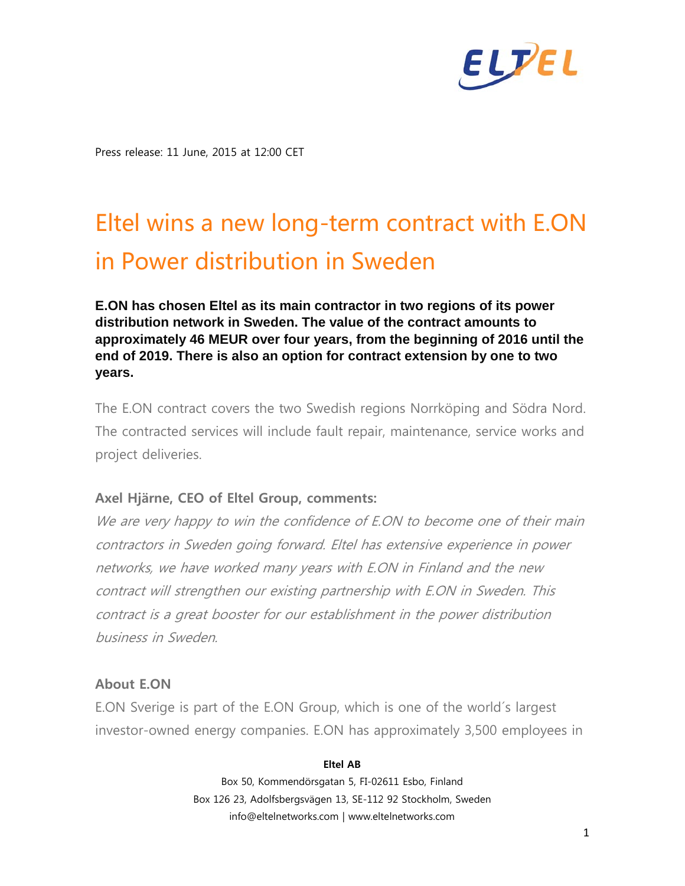

Press release: 11 June, 2015 at 12:00 CET

# Eltel wins a new long-term contract with E.ON in Power distribution in Sweden

**E.ON has chosen Eltel as its main contractor in two regions of its power distribution network in Sweden. The value of the contract amounts to approximately 46 MEUR over four years, from the beginning of 2016 until the end of 2019. There is also an option for contract extension by one to two years.**

The E.ON contract covers the two Swedish regions Norrköping and Södra Nord. The contracted services will include fault repair, maintenance, service works and project deliveries.

## **Axel Hjärne, CEO of Eltel Group, comments:**

We are very happy to win the confidence of E.ON to become one of their main contractors in Sweden going forward. Eltel has extensive experience in power networks, we have worked many years with E.ON in Finland and the new contract will strengthen our existing partnership with E.ON in Sweden. This contract is a great booster for our establishment in the power distribution business in Sweden.

## **About E.ON**

E.ON Sverige is part of the E.ON Group, which is one of the world´s largest investor-owned energy companies. E.ON has approximately 3,500 employees in

#### **Eltel AB**

Box 50, Kommendörsgatan 5, FI-02611 Esbo, Finland Box 126 23, Adolfsbergsvägen 13, SE-112 92 Stockholm, Sweden info@eltelnetworks.com | www.eltelnetworks.com